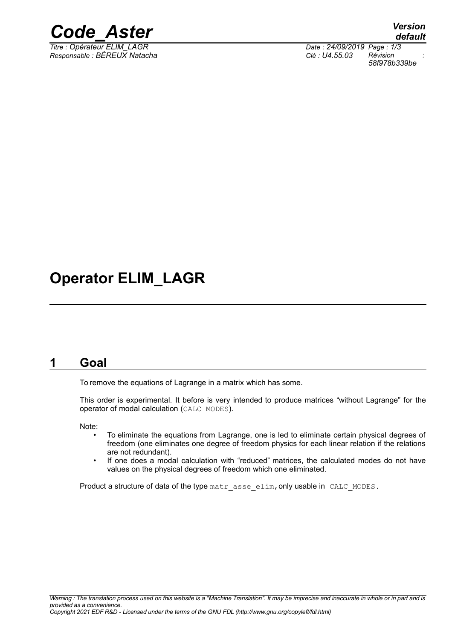

*Responsable : BÉREUX Natacha Clé : U4.55.03 Révision :*

*Titre : Opérateur ELIM\_LAGR Date : 24/09/2019 Page : 1/3 58f978b339be*

# **Operator ELIM\_LAGR**

## **1 Goal**

To remove the equations of Lagrange in a matrix which has some.

This order is experimental. It before is very intended to produce matrices "without Lagrange" for the operator of modal calculation (CALC\_MODES).

Note:

- To eliminate the equations from Lagrange, one is led to eliminate certain physical degrees of freedom (one eliminates one degree of freedom physics for each linear relation if the relations are not redundant).
- If one does a modal calculation with "reduced" matrices, the calculated modes do not have values on the physical degrees of freedom which one eliminated.

Product a structure of data of the type matr asse elim, only usable in CALC MODES.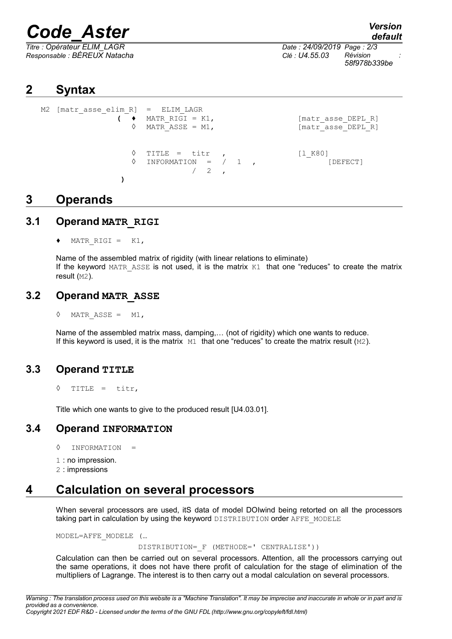# *Code\_Aster Version*

*Responsable : BÉREUX Natacha Clé : U4.55.03 Révision :*

*default*

*Titre : Opérateur ELIM\_LAGR Date : 24/09/2019 Page : 2/3 58f978b339be*

# **2 Syntax**

```
M2 [matr asse elim R] = ELIM LAGR
                   \left( \begin{array}{ccc} \bullet & \text{MATR} & \text{RIGI} = \text{K1}, \end{array} \right) [matr asse DEPL_R]
                      \Diamond MATR ASSE = M1, [\text{matr} \text{ asset} \text{ DEPL} \text{ R}]\Diamond TITLE = titr , [1 K80]\Diamond INFORMATION = / 1,
                                     /2)
```
# **3 Operands**

#### **3.1 Operand MATR\_RIGI**

MATR RIGI =  $K1$ ,

Name of the assembled matrix of rigidity (with linear relations to eliminate) If the keyword MATR ASSE is not used, it is the matrix  $K1$  that one "reduces" to create the matrix result (M2).

#### **3.2 Operand MATR\_ASSE**

 $\Diamond$  MATR ASSE = M1,

Name of the assembled matrix mass, damping,… (not of rigidity) which one wants to reduce. If this keyword is used, it is the matrix  $M1$  that one "reduces" to create the matrix result  $(M2)$ .

#### **3.3 Operand TITLE**

◊ TITLE = titr,

Title which one wants to give to the produced result [U4.03.01].

#### **3.4 Operand INFORMATION**

- ◊ INFORMATION =
- 1 : no impression.
- 2 : impressions

# **4 Calculation on several processors**

When several processors are used, itS data of model DOIwind being retorted on all the processors taking part in calculation by using the keyword DISTRIBUTION order AFFE\_MODELE

MODEL=AFFE\_MODELE (…

DISTRIBUTION=\_F (METHODE=' CENTRALISE'))

Calculation can then be carried out on several processors. Attention, all the processors carrying out the same operations, it does not have there profit of calculation for the stage of elimination of the multipliers of Lagrange. The interest is to then carry out a modal calculation on several processors.